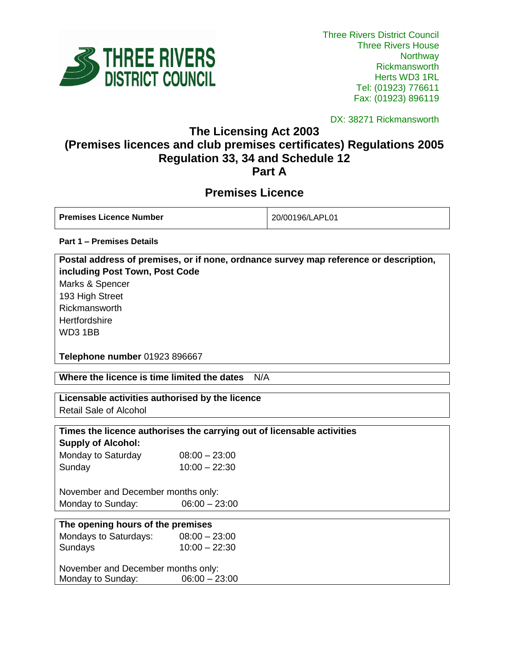

DX: 38271 Rickmansworth

**The Licensing Act 2003**

# **(Premises licences and club premises certificates) Regulations 2005 Regulation 33, 34 and Schedule 12 Part A**

# **Premises Licence**

| <b>Premises Licence Number</b> | 20/00196/LAPL01 |
|--------------------------------|-----------------|
|                                |                 |

**Part 1 – Premises Details**

| Postal address of premises, or if none, ordnance survey map reference or description, |
|---------------------------------------------------------------------------------------|
| including Post Town, Post Code                                                        |
| Marks & Spencer                                                                       |
| 193 High Street                                                                       |
| Rickmansworth                                                                         |
| Hertfordshire                                                                         |
| WD3 1BB                                                                               |
|                                                                                       |
| <b>Telephone number 01923 896667</b>                                                  |

**Where the licence is time limited the dates** N/A

# **Licensable activities authorised by the licence**

Retail Sale of Alcohol

# **Times the licence authorises the carrying out of licensable activities**

**Supply of Alcohol:** Monday to Saturday  $08:00 - 23:00$ Sunday 10:00 – 22:30

November and December months only: Monday to Sunday:  $06:00 - 23:00$ 

| The opening hours of the premises  |                 |  |
|------------------------------------|-----------------|--|
| Mondays to Saturdays:              | $08:00 - 23:00$ |  |
| Sundays                            | $10:00 - 22:30$ |  |
| November and December months only: |                 |  |
| Monday to Sunday:                  | $06:00 - 23:00$ |  |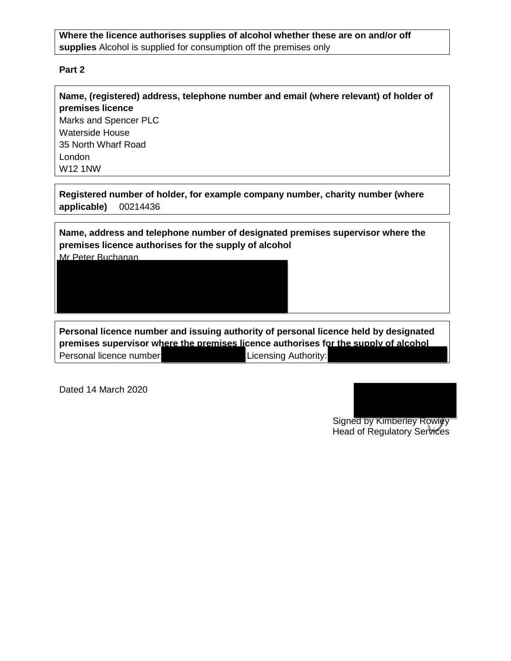# **Where the licence authorises supplies of alcohol whether these are on and/or off supplies** Alcohol is supplied for consumption off the premises only

## **Part 2**

**Name, (registered) address, telephone number and email (where relevant) of holder of premises licence** Marks and Spencer PLC Waterside House 35 North Wharf Road London W12 1NW

**Registered number of holder, for example company number, charity number (where applicable)** 00214436

**Name, address and telephone number of designated premises supervisor where the premises licence authorises for the supply of alcohol** Mr Peter Buchanan

**Personal licence number and issuing authority of personal licence held by designated premises supervisor where the premises licence authorises for the supply of alcohol** Personal licence number: 5606 Licensing Authority:

Dated 14 March 2020

Signed by Kimberley Rowley Head of Regulatory Services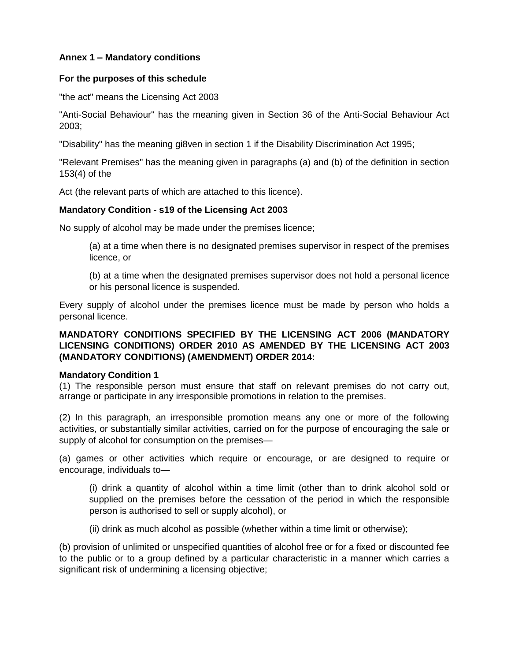# **Annex 1 – Mandatory conditions**

#### **For the purposes of this schedule**

"the act" means the Licensing Act 2003

"Anti-Social Behaviour" has the meaning given in Section 36 of the Anti-Social Behaviour Act 2003;

"Disability" has the meaning gi8ven in section 1 if the Disability Discrimination Act 1995;

"Relevant Premises" has the meaning given in paragraphs (a) and (b) of the definition in section 153(4) of the

Act (the relevant parts of which are attached to this licence).

# **Mandatory Condition - s19 of the Licensing Act 2003**

No supply of alcohol may be made under the premises licence;

(a) at a time when there is no designated premises supervisor in respect of the premises licence, or

(b) at a time when the designated premises supervisor does not hold a personal licence or his personal licence is suspended.

Every supply of alcohol under the premises licence must be made by person who holds a personal licence.

# **MANDATORY CONDITIONS SPECIFIED BY THE LICENSING ACT 2006 (MANDATORY LICENSING CONDITIONS) ORDER 2010 AS AMENDED BY THE LICENSING ACT 2003 (MANDATORY CONDITIONS) (AMENDMENT) ORDER 2014:**

#### **Mandatory Condition 1**

(1) The responsible person must ensure that staff on relevant premises do not carry out, arrange or participate in any irresponsible promotions in relation to the premises.

(2) In this paragraph, an irresponsible promotion means any one or more of the following activities, or substantially similar activities, carried on for the purpose of encouraging the sale or supply of alcohol for consumption on the premises—

(a) games or other activities which require or encourage, or are designed to require or encourage, individuals to—

(i) drink a quantity of alcohol within a time limit (other than to drink alcohol sold or supplied on the premises before the cessation of the period in which the responsible person is authorised to sell or supply alcohol), or

(ii) drink as much alcohol as possible (whether within a time limit or otherwise);

(b) provision of unlimited or unspecified quantities of alcohol free or for a fixed or discounted fee to the public or to a group defined by a particular characteristic in a manner which carries a significant risk of undermining a licensing objective;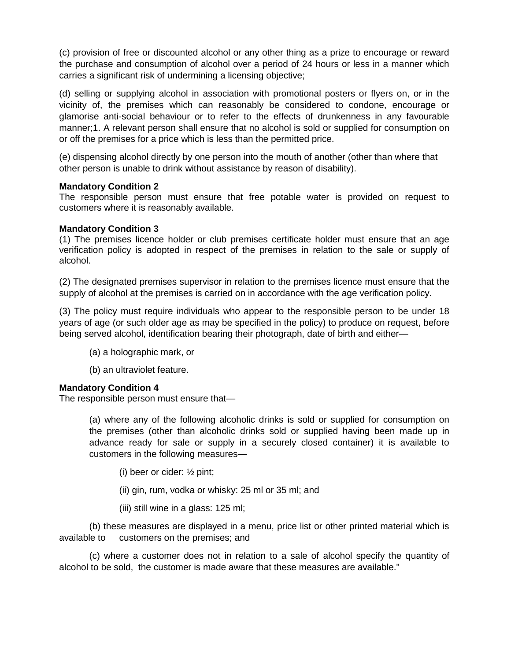(c) provision of free or discounted alcohol or any other thing as a prize to encourage or reward the purchase and consumption of alcohol over a period of 24 hours or less in a manner which carries a significant risk of undermining a licensing objective;

(d) selling or supplying alcohol in association with promotional posters or flyers on, or in the vicinity of, the premises which can reasonably be considered to condone, encourage or glamorise anti-social behaviour or to refer to the effects of drunkenness in any favourable manner;1. A relevant person shall ensure that no alcohol is sold or supplied for consumption on or off the premises for a price which is less than the permitted price.

(e) dispensing alcohol directly by one person into the mouth of another (other than where that other person is unable to drink without assistance by reason of disability).

#### **Mandatory Condition 2**

The responsible person must ensure that free potable water is provided on request to customers where it is reasonably available.

#### **Mandatory Condition 3**

(1) The premises licence holder or club premises certificate holder must ensure that an age verification policy is adopted in respect of the premises in relation to the sale or supply of alcohol.

(2) The designated premises supervisor in relation to the premises licence must ensure that the supply of alcohol at the premises is carried on in accordance with the age verification policy.

(3) The policy must require individuals who appear to the responsible person to be under 18 years of age (or such older age as may be specified in the policy) to produce on request, before being served alcohol, identification bearing their photograph, date of birth and either—

- (a) a holographic mark, or
- (b) an ultraviolet feature.

# **Mandatory Condition 4**

The responsible person must ensure that—

(a) where any of the following alcoholic drinks is sold or supplied for consumption on the premises (other than alcoholic drinks sold or supplied having been made up in advance ready for sale or supply in a securely closed container) it is available to customers in the following measures—

- (i) beer or cider: ½ pint;
- (ii) gin, rum, vodka or whisky: 25 ml or 35 ml; and
- (iii) still wine in a glass: 125 ml;

(b) these measures are displayed in a menu, price list or other printed material which is available to customers on the premises; and

(c) where a customer does not in relation to a sale of alcohol specify the quantity of alcohol to be sold, the customer is made aware that these measures are available."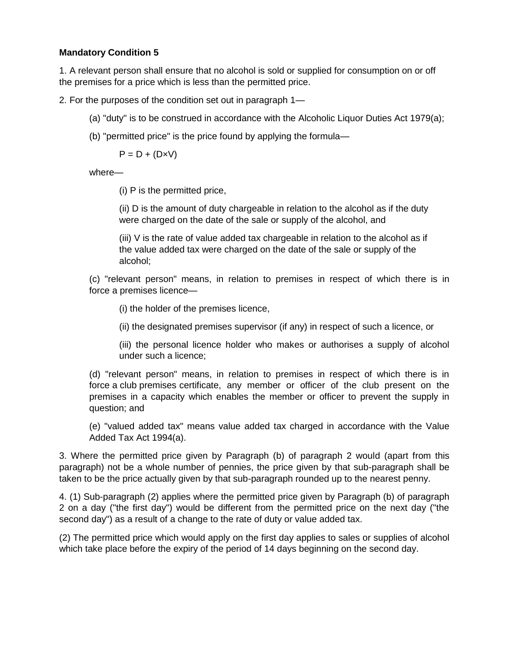# **Mandatory Condition 5**

1. A relevant person shall ensure that no alcohol is sold or supplied for consumption on or off the premises for a price which is less than the permitted price.

2. For the purposes of the condition set out in paragraph 1—

- (a) "duty" is to be construed in accordance with the Alcoholic Liquor Duties Act 1979(a);
- (b) "permitted price" is the price found by applying the formula—

 $P = D + (D \times V)$ 

where—

(i) P is the permitted price,

(ii) D is the amount of duty chargeable in relation to the alcohol as if the duty were charged on the date of the sale or supply of the alcohol, and

(iii) V is the rate of value added tax chargeable in relation to the alcohol as if the value added tax were charged on the date of the sale or supply of the alcohol;

(c) "relevant person" means, in relation to premises in respect of which there is in force a premises licence—

(i) the holder of the premises licence,

(ii) the designated premises supervisor (if any) in respect of such a licence, or

(iii) the personal licence holder who makes or authorises a supply of alcohol under such a licence;

(d) "relevant person" means, in relation to premises in respect of which there is in force a club premises certificate, any member or officer of the club present on the premises in a capacity which enables the member or officer to prevent the supply in question; and

(e) "valued added tax" means value added tax charged in accordance with the Value Added Tax Act 1994(a).

3. Where the permitted price given by Paragraph (b) of paragraph 2 would (apart from this paragraph) not be a whole number of pennies, the price given by that sub-paragraph shall be taken to be the price actually given by that sub-paragraph rounded up to the nearest penny.

4. (1) Sub-paragraph (2) applies where the permitted price given by Paragraph (b) of paragraph 2 on a day ("the first day") would be different from the permitted price on the next day ("the second day") as a result of a change to the rate of duty or value added tax.

(2) The permitted price which would apply on the first day applies to sales or supplies of alcohol which take place before the expiry of the period of 14 days beginning on the second day.